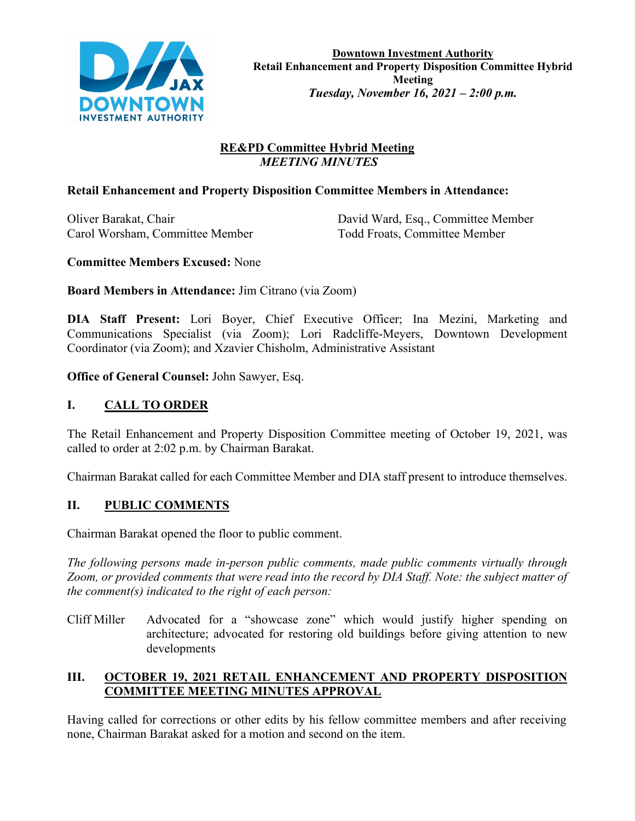

## **RE&PD Committee Hybrid Meeting**  *MEETING MINUTES*

## **Retail Enhancement and Property Disposition Committee Members in Attendance:**

Carol Worsham, Committee Member Todd Froats, Committee Member

Oliver Barakat, Chair David Ward, Esq., Committee Member

### **Committee Members Excused:** None

**Board Members in Attendance:** Jim Citrano (via Zoom)

**DIA Staff Present:** Lori Boyer, Chief Executive Officer; Ina Mezini, Marketing and Communications Specialist (via Zoom); Lori Radcliffe-Meyers, Downtown Development Coordinator (via Zoom); and Xzavier Chisholm, Administrative Assistant

**Office of General Counsel:** John Sawyer, Esq.

## **I. CALL TO ORDER**

The Retail Enhancement and Property Disposition Committee meeting of October 19, 2021, was called to order at 2:02 p.m. by Chairman Barakat.

Chairman Barakat called for each Committee Member and DIA staff present to introduce themselves.

## **II. PUBLIC COMMENTS**

Chairman Barakat opened the floor to public comment.

*The following persons made in-person public comments, made public comments virtually through Zoom, or provided comments that were read into the record by DIA Staff. Note: the subject matter of the comment(s) indicated to the right of each person:*

Cliff Miller Advocated for a "showcase zone" which would justify higher spending on architecture; advocated for restoring old buildings before giving attention to new developments

## **III. OCTOBER 19, 2021 RETAIL ENHANCEMENT AND PROPERTY DISPOSITION COMMITTEE MEETING MINUTES APPROVAL**

Having called for corrections or other edits by his fellow committee members and after receiving none, Chairman Barakat asked for a motion and second on the item.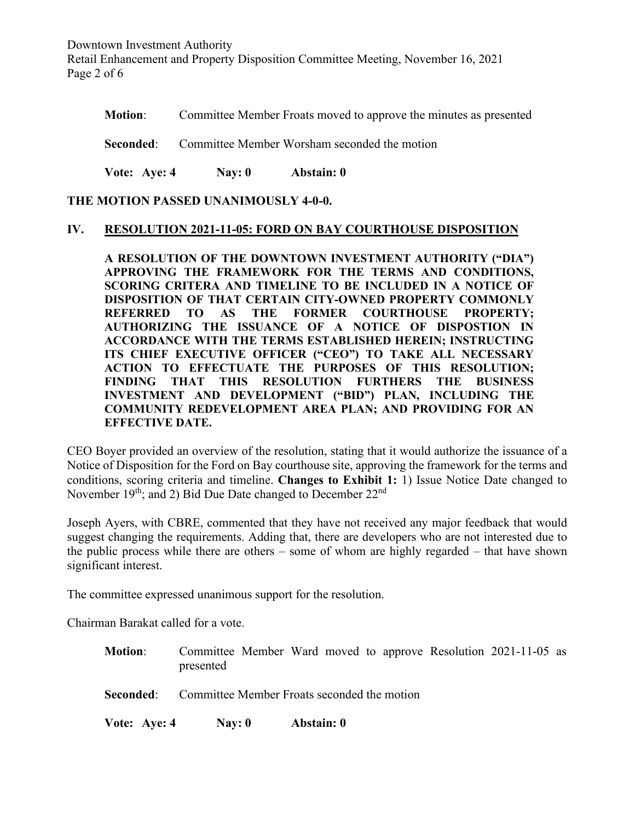Downtown Investment Authority Retail Enhancement and Property Disposition Committee Meeting, November 16, 2021 Page 2 of 6

**Motion:** Committee Member Froats moved to approve the minutes as presented

**Seconded:** Committee Member Worsham seconded the motion

**Vote: Aye: 4 Nay: 0 Abstain: 0**

**THE MOTION PASSED UNANIMOUSLY 4-0-0.**

#### **IV. RESOLUTION 2021-11-05: FORD ON BAY COURTHOUSE DISPOSITION**

**A RESOLUTION OF THE DOWNTOWN INVESTMENT AUTHORITY ("DIA") APPROVING THE FRAMEWORK FOR THE TERMS AND CONDITIONS, SCORING CRITERA AND TIMELINE TO BE INCLUDED IN A NOTICE OF DISPOSITION OF THAT CERTAIN CITY-OWNED PROPERTY COMMONLY REFERRED TO AS THE FORMER COURTHOUSE PROPERTY; AUTHORIZING THE ISSUANCE OF A NOTICE OF DISPOSTION IN ACCORDANCE WITH THE TERMS ESTABLISHED HEREIN; INSTRUCTING ITS CHIEF EXECUTIVE OFFICER ("CEO") TO TAKE ALL NECESSARY ACTION TO EFFECTUATE THE PURPOSES OF THIS RESOLUTION; FINDING THAT THIS RESOLUTION FURTHERS THE BUSINESS INVESTMENT AND DEVELOPMENT ("BID") PLAN, INCLUDING THE COMMUNITY REDEVELOPMENT AREA PLAN; AND PROVIDING FOR AN EFFECTIVE DATE.**

CEO Boyer provided an overview of the resolution, stating that it would authorize the issuance of a Notice of Disposition for the Ford on Bay courthouse site, approving the framework for the terms and conditions, scoring criteria and timeline. **Changes to Exhibit 1:** 1) Issue Notice Date changed to November  $19<sup>th</sup>$ ; and 2) Bid Due Date changed to December  $22<sup>nd</sup>$ 

Joseph Ayers, with CBRE, commented that they have not received any major feedback that would suggest changing the requirements. Adding that, there are developers who are not interested due to the public process while there are others – some of whom are highly regarded – that have shown significant interest.

The committee expressed unanimous support for the resolution.

Chairman Barakat called for a vote.

**Motion**: Committee Member Ward moved to approve Resolution 2021-11-05 as presented

**Seconded:** Committee Member Froats seconded the motion

**Vote: Aye: 4 Nay: 0 Abstain: 0**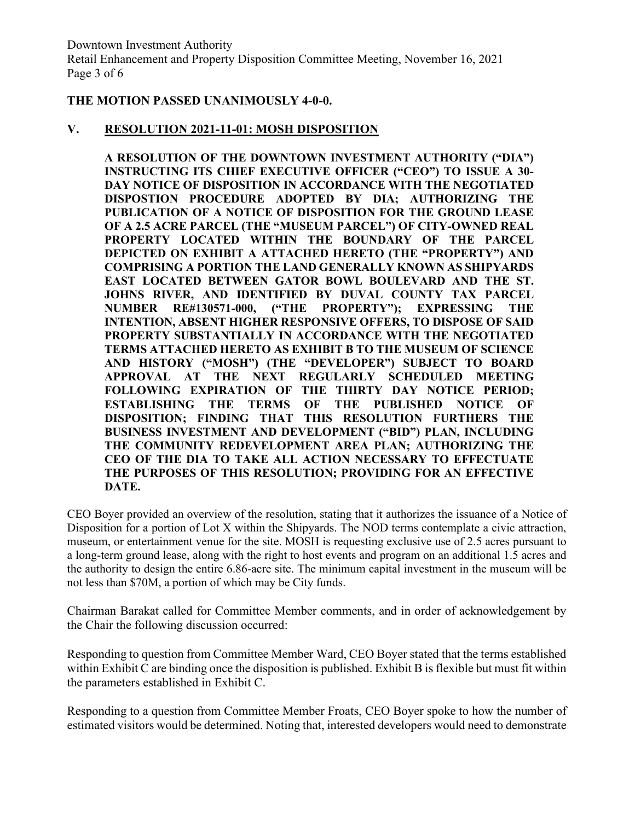Downtown Investment Authority Retail Enhancement and Property Disposition Committee Meeting, November 16, 2021 Page 3 of 6

### **THE MOTION PASSED UNANIMOUSLY 4-0-0.**

### **V. RESOLUTION 2021-11-01: MOSH DISPOSITION**

**A RESOLUTION OF THE DOWNTOWN INVESTMENT AUTHORITY ("DIA") INSTRUCTING ITS CHIEF EXECUTIVE OFFICER ("CEO") TO ISSUE A 30- DAY NOTICE OF DISPOSITION IN ACCORDANCE WITH THE NEGOTIATED DISPOSTION PROCEDURE ADOPTED BY DIA; AUTHORIZING THE PUBLICATION OF A NOTICE OF DISPOSITION FOR THE GROUND LEASE OF A 2.5 ACRE PARCEL (THE "MUSEUM PARCEL") OF CITY-OWNED REAL PROPERTY LOCATED WITHIN THE BOUNDARY OF THE PARCEL DEPICTED ON EXHIBIT A ATTACHED HERETO (THE "PROPERTY") AND COMPRISING A PORTION THE LAND GENERALLY KNOWN AS SHIPYARDS EAST LOCATED BETWEEN GATOR BOWL BOULEVARD AND THE ST. JOHNS RIVER, AND IDENTIFIED BY DUVAL COUNTY TAX PARCEL NUMBER RE#130571-000, ("THE PROPERTY"); EXPRESSING THE INTENTION, ABSENT HIGHER RESPONSIVE OFFERS, TO DISPOSE OF SAID PROPERTY SUBSTANTIALLY IN ACCORDANCE WITH THE NEGOTIATED TERMS ATTACHED HERETO AS EXHIBIT B TO THE MUSEUM OF SCIENCE AND HISTORY ("MOSH") (THE "DEVELOPER") SUBJECT TO BOARD APPROVAL AT THE NEXT REGULARLY SCHEDULED MEETING FOLLOWING EXPIRATION OF THE THIRTY DAY NOTICE PERIOD; ESTABLISHING THE TERMS OF THE PUBLISHED NOTICE OF DISPOSITION; FINDING THAT THIS RESOLUTION FURTHERS THE BUSINESS INVESTMENT AND DEVELOPMENT ("BID") PLAN, INCLUDING THE COMMUNITY REDEVELOPMENT AREA PLAN; AUTHORIZING THE CEO OF THE DIA TO TAKE ALL ACTION NECESSARY TO EFFECTUATE THE PURPOSES OF THIS RESOLUTION; PROVIDING FOR AN EFFECTIVE DATE.**

CEO Boyer provided an overview of the resolution, stating that it authorizes the issuance of a Notice of Disposition for a portion of Lot X within the Shipyards. The NOD terms contemplate a civic attraction, museum, or entertainment venue for the site. MOSH is requesting exclusive use of 2.5 acres pursuant to a long-term ground lease, along with the right to host events and program on an additional 1.5 acres and the authority to design the entire 6.86-acre site. The minimum capital investment in the museum will be not less than \$70M, a portion of which may be City funds.

Chairman Barakat called for Committee Member comments, and in order of acknowledgement by the Chair the following discussion occurred:

Responding to question from Committee Member Ward, CEO Boyer stated that the terms established within Exhibit C are binding once the disposition is published. Exhibit B is flexible but must fit within the parameters established in Exhibit C.

Responding to a question from Committee Member Froats, CEO Boyer spoke to how the number of estimated visitors would be determined. Noting that, interested developers would need to demonstrate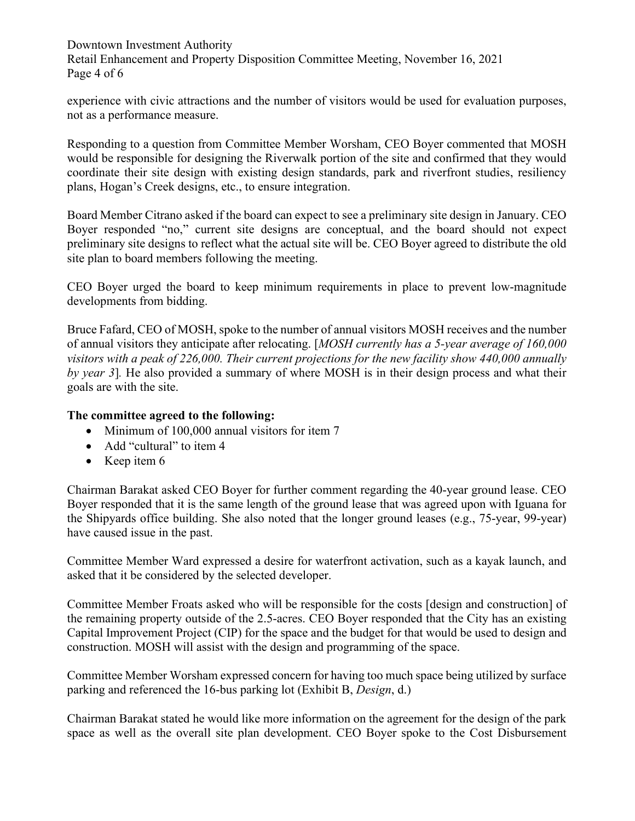Downtown Investment Authority Retail Enhancement and Property Disposition Committee Meeting, November 16, 2021 Page 4 of 6

experience with civic attractions and the number of visitors would be used for evaluation purposes, not as a performance measure.

Responding to a question from Committee Member Worsham, CEO Boyer commented that MOSH would be responsible for designing the Riverwalk portion of the site and confirmed that they would coordinate their site design with existing design standards, park and riverfront studies, resiliency plans, Hogan's Creek designs, etc., to ensure integration.

Board Member Citrano asked if the board can expect to see a preliminary site design in January. CEO Boyer responded "no," current site designs are conceptual, and the board should not expect preliminary site designs to reflect what the actual site will be. CEO Boyer agreed to distribute the old site plan to board members following the meeting.

CEO Boyer urged the board to keep minimum requirements in place to prevent low-magnitude developments from bidding.

Bruce Fafard, CEO of MOSH, spoke to the number of annual visitors MOSH receives and the number of annual visitors they anticipate after relocating. [*MOSH currently has a 5-year average of 160,000 visitors with a peak of 226,000. Their current projections for the new facility show 440,000 annually by year 3*]*.* He also provided a summary of where MOSH is in their design process and what their goals are with the site.

### **The committee agreed to the following:**

- Minimum of 100,000 annual visitors for item 7
- Add "cultural" to item 4
- Keep item 6

Chairman Barakat asked CEO Boyer for further comment regarding the 40-year ground lease. CEO Boyer responded that it is the same length of the ground lease that was agreed upon with Iguana for the Shipyards office building. She also noted that the longer ground leases (e.g., 75-year, 99-year) have caused issue in the past.

Committee Member Ward expressed a desire for waterfront activation, such as a kayak launch, and asked that it be considered by the selected developer.

Committee Member Froats asked who will be responsible for the costs [design and construction] of the remaining property outside of the 2.5-acres. CEO Boyer responded that the City has an existing Capital Improvement Project (CIP) for the space and the budget for that would be used to design and construction. MOSH will assist with the design and programming of the space.

Committee Member Worsham expressed concern for having too much space being utilized by surface parking and referenced the 16-bus parking lot (Exhibit B, *Design*, d.)

Chairman Barakat stated he would like more information on the agreement for the design of the park space as well as the overall site plan development. CEO Boyer spoke to the Cost Disbursement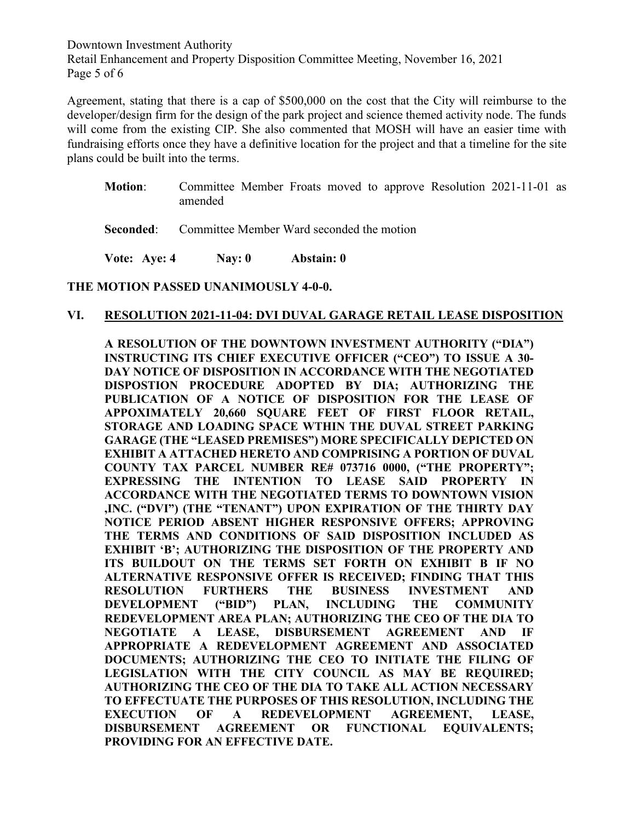Downtown Investment Authority Retail Enhancement and Property Disposition Committee Meeting, November 16, 2021 Page 5 of 6

Agreement, stating that there is a cap of \$500,000 on the cost that the City will reimburse to the developer/design firm for the design of the park project and science themed activity node. The funds will come from the existing CIP. She also commented that MOSH will have an easier time with fundraising efforts once they have a definitive location for the project and that a timeline for the site plans could be built into the terms.

- **Motion**: Committee Member Froats moved to approve Resolution 2021-11-01 as amended
- **Seconded:** Committee Member Ward seconded the motion

**Vote: Aye: 4 Nay: 0 Abstain: 0**

#### **THE MOTION PASSED UNANIMOUSLY 4-0-0.**

#### **VI. RESOLUTION 2021-11-04: DVI DUVAL GARAGE RETAIL LEASE DISPOSITION**

**A RESOLUTION OF THE DOWNTOWN INVESTMENT AUTHORITY ("DIA") INSTRUCTING ITS CHIEF EXECUTIVE OFFICER ("CEO") TO ISSUE A 30- DAY NOTICE OF DISPOSITION IN ACCORDANCE WITH THE NEGOTIATED DISPOSTION PROCEDURE ADOPTED BY DIA; AUTHORIZING THE PUBLICATION OF A NOTICE OF DISPOSITION FOR THE LEASE OF APPOXIMATELY 20,660 SQUARE FEET OF FIRST FLOOR RETAIL, STORAGE AND LOADING SPACE WTHIN THE DUVAL STREET PARKING GARAGE (THE "LEASED PREMISES") MORE SPECIFICALLY DEPICTED ON EXHIBIT A ATTACHED HERETO AND COMPRISING A PORTION OF DUVAL COUNTY TAX PARCEL NUMBER RE# 073716 0000, ("THE PROPERTY"; EXPRESSING THE INTENTION TO LEASE SAID PROPERTY IN ACCORDANCE WITH THE NEGOTIATED TERMS TO DOWNTOWN VISION ,INC. ("DVI") (THE "TENANT") UPON EXPIRATION OF THE THIRTY DAY NOTICE PERIOD ABSENT HIGHER RESPONSIVE OFFERS; APPROVING THE TERMS AND CONDITIONS OF SAID DISPOSITION INCLUDED AS EXHIBIT 'B'; AUTHORIZING THE DISPOSITION OF THE PROPERTY AND ITS BUILDOUT ON THE TERMS SET FORTH ON EXHIBIT B IF NO ALTERNATIVE RESPONSIVE OFFER IS RECEIVED; FINDING THAT THIS RESOLUTION FURTHERS THE BUSINESS INVESTMENT AND DEVELOPMENT ("BID") PLAN, INCLUDING THE COMMUNITY REDEVELOPMENT AREA PLAN; AUTHORIZING THE CEO OF THE DIA TO NEGOTIATE A LEASE, DISBURSEMENT AGREEMENT AND IF APPROPRIATE A REDEVELOPMENT AGREEMENT AND ASSOCIATED DOCUMENTS; AUTHORIZING THE CEO TO INITIATE THE FILING OF LEGISLATION WITH THE CITY COUNCIL AS MAY BE REQUIRED; AUTHORIZING THE CEO OF THE DIA TO TAKE ALL ACTION NECESSARY TO EFFECTUATE THE PURPOSES OF THIS RESOLUTION, INCLUDING THE EXECUTION OF A REDEVELOPMENT AGREEMENT, LEASE, DISBURSEMENT AGREEMENT OR FUNCTIONAL EQUIVALENTS; PROVIDING FOR AN EFFECTIVE DATE.**